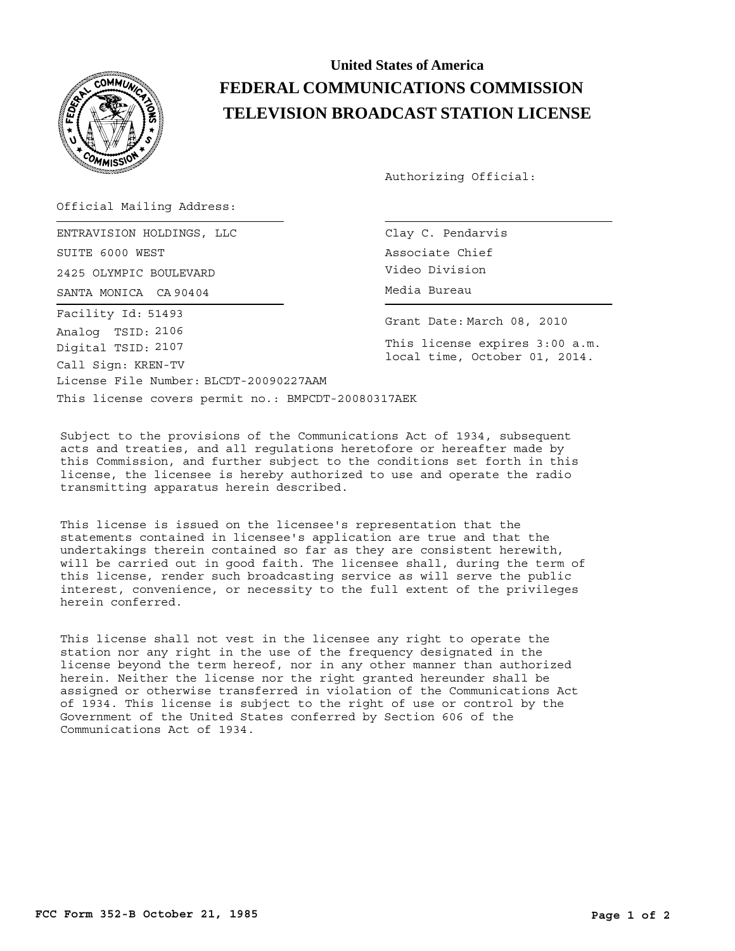

## **United States of America FEDERAL COMMUNICATIONS COMMISSION TELEVISION BROADCAST STATION LICENSE**

Authorizing Official:

Official Mailing Address:

SANTA MONICA CA 90404 (CA 1994) CONTROLLER Media Bureau ENTRAVISION HOLDINGS, LLC SUITE 6000 WEST 2425 OLYMPIC BOULEVARD License File Number: BLCDT-20090227AAM Call Sign: KREN-TV Facility Id: 51493 Digital TSID: 2107 Analog TSID: 2106

Clay C. Pendarvis Associate Chief Video Division

Grant Date: March 08, 2010

This license expires 3:00 a.m. local time, October 01, 2014.

This license covers permit no.: BMPCDT-20080317AEK

Subject to the provisions of the Communications Act of 1934, subsequent acts and treaties, and all regulations heretofore or hereafter made by this Commission, and further subject to the conditions set forth in this license, the licensee is hereby authorized to use and operate the radio transmitting apparatus herein described.

This license is issued on the licensee's representation that the statements contained in licensee's application are true and that the undertakings therein contained so far as they are consistent herewith, will be carried out in good faith. The licensee shall, during the term of this license, render such broadcasting service as will serve the public interest, convenience, or necessity to the full extent of the privileges herein conferred.

This license shall not vest in the licensee any right to operate the station nor any right in the use of the frequency designated in the license beyond the term hereof, nor in any other manner than authorized herein. Neither the license nor the right granted hereunder shall be assigned or otherwise transferred in violation of the Communications Act of 1934. This license is subject to the right of use or control by the Government of the United States conferred by Section 606 of the Communications Act of 1934.